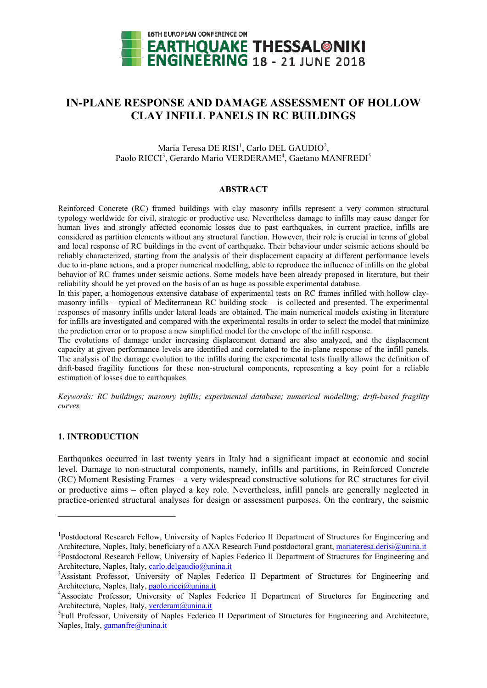

# **IN-PLANE RESPONSE AND DAMAGE ASSESSMENT OF HOLLOW CLAY INFILL PANELS IN RC BUILDINGS**

Maria Teresa DE RISI<sup>1</sup>, Carlo DEL GAUDIO<sup>2</sup>, Paolo RICCI<sup>3</sup>, Gerardo Mario VERDERAME<sup>4</sup>, Gaetano MANFREDI<sup>5</sup>

## **ABSTRACT**

Reinforced Concrete (RC) framed buildings with clay masonry infills represent a very common structural typology worldwide for civil, strategic or productive use. Nevertheless damage to infills may cause danger for human lives and strongly affected economic losses due to past earthquakes, in current practice, infills are considered as partition elements without any structural function. However, their role is crucial in terms of global and local response of RC buildings in the event of earthquake. Their behaviour under seismic actions should be reliably characterized, starting from the analysis of their displacement capacity at different performance levels due to in-plane actions, and a proper numerical modelling, able to reproduce the influence of infills on the global behavior of RC frames under seismic actions. Some models have been already proposed in literature, but their reliability should be yet proved on the basis of an as huge as possible experimental database.

In this paper, a homogenous extensive database of experimental tests on RC frames infilled with hollow claymasonry infills – typical of Mediterranean RC building stock – is collected and presented. The experimental responses of masonry infills under lateral loads are obtained. The main numerical models existing in literature for infills are investigated and compared with the experimental results in order to select the model that minimize the prediction error or to propose a new simplified model for the envelope of the infill response.

The evolutions of damage under increasing displacement demand are also analyzed, and the displacement capacity at given performance levels are identified and correlated to the in-plane response of the infill panels. The analysis of the damage evolution to the infills during the experimental tests finally allows the definition of drift-based fragility functions for these non-structural components, representing a key point for a reliable estimation of losses due to earthquakes.

*Keywords: RC buildings; masonry infills; experimental database; numerical modelling; drift-based fragility curves.* 

## **1. INTRODUCTION**

1

Earthquakes occurred in last twenty years in Italy had a significant impact at economic and social level. Damage to non-structural components, namely, infills and partitions, in Reinforced Concrete (RC) Moment Resisting Frames – a very widespread constructive solutions for RC structures for civil or productive aims – often played a key role. Nevertheless, infill panels are generally neglected in practice-oriented structural analyses for design or assessment purposes. On the contrary, the seismic

<sup>&</sup>lt;sup>1</sup>Postdoctoral Research Fellow, University of Naples Federico II Department of Structures for Engineering and Architecture, Naples, Italy, beneficiary of a AXA Research Fund postdoctoral grant, mariateresa.derisi@unina.it <sup>2</sup>Postdoctoral Research Fellow, University of Naples Federico II Department of Structures for Engineering and Architecture, Naples, Italy, carlo.delgaudio@unina.it

<sup>&</sup>lt;sup>3</sup>Assistant Professor, University of Naples Federico II Department of Structures for Engineering and Architecture, Naples, Italy, paolo.ricci@unina.it

<sup>&</sup>lt;sup>4</sup> Associate Professor, University of Naples Federico II Department of Structures for Engineering and Architecture, Naples, Italy, verderam@unina.it

<sup>&</sup>lt;sup>5</sup>Full Professor, University of Naples Federico II Department of Structures for Engineering and Architecture, Naples, Italy, gamanfre@unina.it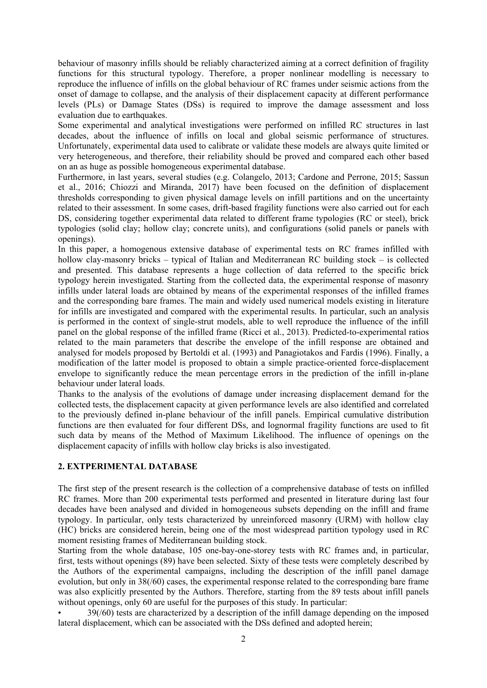behaviour of masonry infills should be reliably characterized aiming at a correct definition of fragility functions for this structural typology. Therefore, a proper nonlinear modelling is necessary to reproduce the influence of infills on the global behaviour of RC frames under seismic actions from the onset of damage to collapse, and the analysis of their displacement capacity at different performance levels (PLs) or Damage States (DSs) is required to improve the damage assessment and loss evaluation due to earthquakes.

Some experimental and analytical investigations were performed on infilled RC structures in last decades, about the influence of infills on local and global seismic performance of structures. Unfortunately, experimental data used to calibrate or validate these models are always quite limited or very heterogeneous, and therefore, their reliability should be proved and compared each other based on an as huge as possible homogeneous experimental database.

Furthermore, in last years, several studies (e.g. Colangelo, 2013; Cardone and Perrone, 2015; Sassun et al., 2016; Chiozzi and Miranda, 2017) have been focused on the definition of displacement thresholds corresponding to given physical damage levels on infill partitions and on the uncertainty related to their assessment. In some cases, drift-based fragility functions were also carried out for each DS, considering together experimental data related to different frame typologies (RC or steel), brick typologies (solid clay; hollow clay; concrete units), and configurations (solid panels or panels with openings).

In this paper, a homogenous extensive database of experimental tests on RC frames infilled with hollow clay-masonry bricks – typical of Italian and Mediterranean RC building stock – is collected and presented. This database represents a huge collection of data referred to the specific brick typology herein investigated. Starting from the collected data, the experimental response of masonry infills under lateral loads are obtained by means of the experimental responses of the infilled frames and the corresponding bare frames. The main and widely used numerical models existing in literature for infills are investigated and compared with the experimental results. In particular, such an analysis is performed in the context of single-strut models, able to well reproduce the influence of the infill panel on the global response of the infilled frame (Ricci et al., 2013). Predicted-to-experimental ratios related to the main parameters that describe the envelope of the infill response are obtained and analysed for models proposed by Bertoldi et al. (1993) and Panagiotakos and Fardis (1996). Finally, a modification of the latter model is proposed to obtain a simple practice-oriented force-displacement envelope to significantly reduce the mean percentage errors in the prediction of the infill in-plane behaviour under lateral loads.

Thanks to the analysis of the evolutions of damage under increasing displacement demand for the collected tests, the displacement capacity at given performance levels are also identified and correlated to the previously defined in-plane behaviour of the infill panels. Empirical cumulative distribution functions are then evaluated for four different DSs, and lognormal fragility functions are used to fit such data by means of the Method of Maximum Likelihood. The influence of openings on the displacement capacity of infills with hollow clay bricks is also investigated.

# **2. EXTPERIMENTAL DATABASE**

The first step of the present research is the collection of a comprehensive database of tests on infilled RC frames. More than 200 experimental tests performed and presented in literature during last four decades have been analysed and divided in homogeneous subsets depending on the infill and frame typology. In particular, only tests characterized by unreinforced masonry (URM) with hollow clay (HC) bricks are considered herein, being one of the most widespread partition typology used in RC moment resisting frames of Mediterranean building stock.

Starting from the whole database, 105 one-bay-one-storey tests with RC frames and, in particular, first, tests without openings (89) have been selected. Sixty of these tests were completely described by the Authors of the experimental campaigns, including the description of the infill panel damage evolution, but only in 38(/60) cases, the experimental response related to the corresponding bare frame was also explicitly presented by the Authors. Therefore, starting from the 89 tests about infill panels without openings, only 60 are useful for the purposes of this study. In particular:

• 39(/60) tests are characterized by a description of the infill damage depending on the imposed lateral displacement, which can be associated with the DSs defined and adopted herein;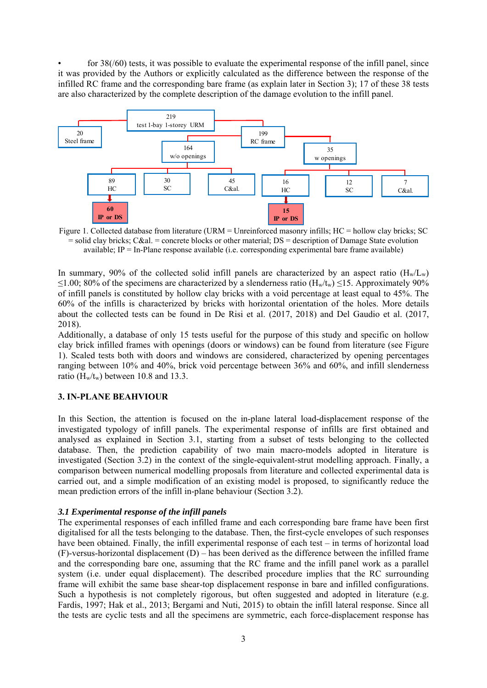for 38(/60) tests, it was possible to evaluate the experimental response of the infill panel, since it was provided by the Authors or explicitly calculated as the difference between the response of the infilled RC frame and the corresponding bare frame (as explain later in Section 3); 17 of these 38 tests are also characterized by the complete description of the damage evolution to the infill panel.



Figure 1. Collected database from literature (URM = Unreinforced masonry infills; HC = hollow clay bricks; SC  $=$  solid clay bricks; C&al.  $=$  concrete blocks or other material; DS  $=$  description of Damage State evolution available;  $IP = In-Plane$  response available (i.e. corresponding experimental bare frame available)

In summary, 90% of the collected solid infill panels are characterized by an aspect ratio  $(H_w/L_w)$  $\leq$ 1.00; 80% of the specimens are characterized by a slenderness ratio (H<sub>w</sub>/t<sub>w</sub>)  $\leq$ 15. Approximately 90% of infill panels is constituted by hollow clay bricks with a void percentage at least equal to 45%. The 60% of the infills is characterized by bricks with horizontal orientation of the holes. More details about the collected tests can be found in De Risi et al. (2017, 2018) and Del Gaudio et al. (2017, 2018).

Additionally, a database of only 15 tests useful for the purpose of this study and specific on hollow clay brick infilled frames with openings (doors or windows) can be found from literature (see Figure 1). Scaled tests both with doors and windows are considered, characterized by opening percentages ranging between 10% and 40%, brick void percentage between 36% and 60%, and infill slenderness ratio ( $H_w/t_w$ ) between 10.8 and 13.3.

# **3. IN-PLANE BEAHVIOUR**

In this Section, the attention is focused on the in-plane lateral load-displacement response of the investigated typology of infill panels. The experimental response of infills are first obtained and analysed as explained in Section 3.1, starting from a subset of tests belonging to the collected database. Then, the prediction capability of two main macro-models adopted in literature is investigated (Section 3.2) in the context of the single-equivalent-strut modelling approach. Finally, a comparison between numerical modelling proposals from literature and collected experimental data is carried out, and a simple modification of an existing model is proposed, to significantly reduce the mean prediction errors of the infill in-plane behaviour (Section 3.2).

#### *3.1 Experimental response of the infill panels*

The experimental responses of each infilled frame and each corresponding bare frame have been first digitalised for all the tests belonging to the database. Then, the first-cycle envelopes of such responses have been obtained. Finally, the infill experimental response of each test – in terms of horizontal load (F)-versus-horizontal displacement (D) – has been derived as the difference between the infilled frame and the corresponding bare one, assuming that the RC frame and the infill panel work as a parallel system (i.e. under equal displacement). The described procedure implies that the RC surrounding frame will exhibit the same base shear-top displacement response in bare and infilled configurations. Such a hypothesis is not completely rigorous, but often suggested and adopted in literature (e.g. Fardis, 1997; Hak et al., 2013; Bergami and Nuti, 2015) to obtain the infill lateral response. Since all the tests are cyclic tests and all the specimens are symmetric, each force-displacement response has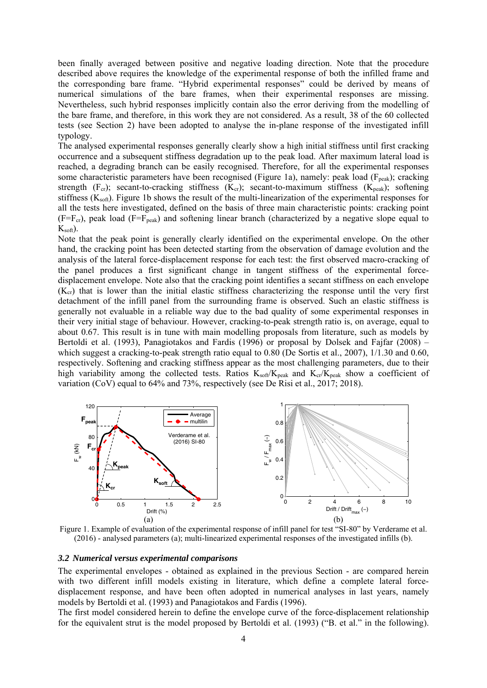been finally averaged between positive and negative loading direction. Note that the procedure described above requires the knowledge of the experimental response of both the infilled frame and the corresponding bare frame. "Hybrid experimental responses" could be derived by means of numerical simulations of the bare frames, when their experimental responses are missing. Nevertheless, such hybrid responses implicitly contain also the error deriving from the modelling of the bare frame, and therefore, in this work they are not considered. As a result, 38 of the 60 collected tests (see Section 2) have been adopted to analyse the in-plane response of the investigated infill typology.

The analysed experimental responses generally clearly show a high initial stiffness until first cracking occurrence and a subsequent stiffness degradation up to the peak load. After maximum lateral load is reached, a degrading branch can be easily recognised. Therefore, for all the experimental responses some characteristic parameters have been recognised (Figure 1a), namely: peak load ( $F_{peak}$ ); cracking strength (F<sub>cr</sub>); secant-to-cracking stiffness (K<sub>cr</sub>); secant-to-maximum stiffness (K<sub>peak</sub>); softening stiffness  $(K_{soft})$ . Figure 1b shows the result of the multi-linearization of the experimental responses for all the tests here investigated, defined on the basis of three main characteristic points: cracking point  $(F=F_{cr})$ , peak load  $(F=F_{peak})$  and softening linear branch (characterized by a negative slope equal to  $K<sub>soft</sub>$ ).

Note that the peak point is generally clearly identified on the experimental envelope. On the other hand, the cracking point has been detected starting from the observation of damage evolution and the analysis of the lateral force-displacement response for each test: the first observed macro-cracking of the panel produces a first significant change in tangent stiffness of the experimental forcedisplacement envelope. Note also that the cracking point identifies a secant stiffness on each envelope  $(K<sub>cr</sub>)$  that is lower than the initial elastic stiffness characterizing the response until the very first detachment of the infill panel from the surrounding frame is observed. Such an elastic stiffness is generally not evaluable in a reliable way due to the bad quality of some experimental responses in their very initial stage of behaviour. However, cracking-to-peak strength ratio is, on average, equal to about 0.67. This result is in tune with main modelling proposals from literature, such as models by Bertoldi et al. (1993), Panagiotakos and Fardis (1996) or proposal by Dolsek and Fajfar (2008) – which suggest a cracking-to-peak strength ratio equal to 0.80 (De Sortis et al., 2007), 1/1.30 and 0.60, respectively. Softening and cracking stiffness appear as the most challenging parameters, due to their high variability among the collected tests. Ratios  $K_{soft}/K_{peak}$  and  $K_{cr}/K_{peak}$  show a coefficient of variation (CoV) equal to 64% and 73%, respectively (see De Risi et al., 2017; 2018).



Figure 1. Example of evaluation of the experimental response of infill panel for test "SI-80" by Verderame et al. (2016) - analysed parameters (a); multi-linearized experimental responses of the investigated infills (b).

#### *3.2 Numerical versus experimental comparisons*

The experimental envelopes - obtained as explained in the previous Section - are compared herein with two different infill models existing in literature, which define a complete lateral forcedisplacement response, and have been often adopted in numerical analyses in last years, namely models by Bertoldi et al. (1993) and Panagiotakos and Fardis (1996).

The first model considered herein to define the envelope curve of the force-displacement relationship for the equivalent strut is the model proposed by Bertoldi et al. (1993) ("B. et al." in the following).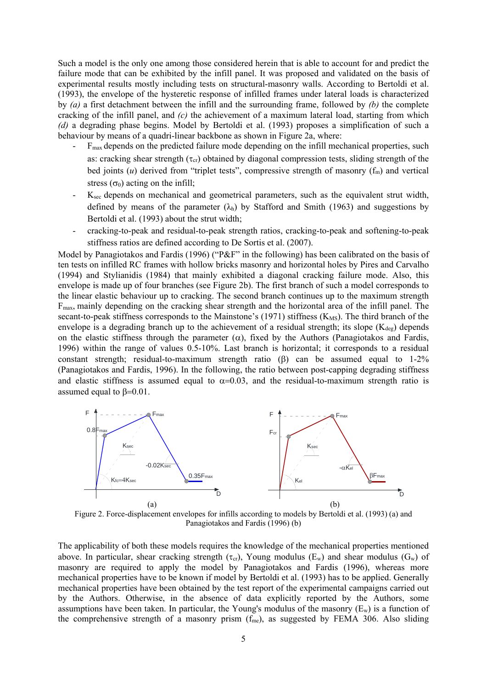Such a model is the only one among those considered herein that is able to account for and predict the failure mode that can be exhibited by the infill panel. It was proposed and validated on the basis of experimental results mostly including tests on structural-masonry walls. According to Bertoldi et al. (1993), the envelope of the hysteretic response of infilled frames under lateral loads is characterized by *(a)* a first detachment between the infill and the surrounding frame, followed by *(b)* the complete cracking of the infill panel, and *(c)* the achievement of a maximum lateral load, starting from which *(d)* a degrading phase begins. Model by Bertoldi et al. (1993) proposes a simplification of such a behaviour by means of a quadri-linear backbone as shown in Figure 2a, where:

- $F_{\text{max}}$  depends on the predicted failure mode depending on the infill mechanical properties, such as: cracking shear strength ( $\tau_{cr}$ ) obtained by diagonal compression tests, sliding strength of the bed joints  $(u)$  derived from "triplet tests", compressive strength of masonry  $(f_m)$  and vertical stress  $(\sigma_0)$  acting on the infill;
- K<sub>sec</sub> depends on mechanical and geometrical parameters, such as the equivalent strut width, defined by means of the parameter  $(\lambda_h)$  by Stafford and Smith (1963) and suggestions by Bertoldi et al. (1993) about the strut width;
- cracking-to-peak and residual-to-peak strength ratios, cracking-to-peak and softening-to-peak stiffness ratios are defined according to De Sortis et al. (2007).

Model by Panagiotakos and Fardis (1996) ("P&F" in the following) has been calibrated on the basis of ten tests on infilled RC frames with hollow bricks masonry and horizontal holes by Pires and Carvalho (1994) and Stylianidis (1984) that mainly exhibited a diagonal cracking failure mode. Also, this envelope is made up of four branches (see Figure 2b). The first branch of such a model corresponds to the linear elastic behaviour up to cracking. The second branch continues up to the maximum strength Fmax, mainly depending on the cracking shear strength and the horizontal area of the infill panel. The secant-to-peak stiffness corresponds to the Mainstone's  $(1971)$  stiffness  $(K_{MS})$ . The third branch of the envelope is a degrading branch up to the achievement of a residual strength; its slope  $(K_{\text{dec}})$  depends on the elastic stiffness through the parameter  $(\alpha)$ , fixed by the Authors (Panagiotakos and Fardis, 1996) within the range of values 0.5-10%. Last branch is horizontal; it corresponds to a residual constant strength; residual-to-maximum strength ratio  $(\beta)$  can be assumed equal to 1-2% (Panagiotakos and Fardis, 1996). In the following, the ratio between post-capping degrading stiffness and elastic stiffness is assumed equal to  $\alpha=0.03$ , and the residual-to-maximum strength ratio is assumed equal to  $\beta = 0.01$ .



Figure 2. Force-displacement envelopes for infills according to models by Bertoldi et al. (1993) (a) and Panagiotakos and Fardis (1996) (b)

The applicability of both these models requires the knowledge of the mechanical properties mentioned above. In particular, shear cracking strength ( $\tau_{cr}$ ), Young modulus (E<sub>w</sub>) and shear modulus (G<sub>w</sub>) of masonry are required to apply the model by Panagiotakos and Fardis (1996), whereas more mechanical properties have to be known if model by Bertoldi et al. (1993) has to be applied. Generally mechanical properties have been obtained by the test report of the experimental campaigns carried out by the Authors. Otherwise, in the absence of data explicitly reported by the Authors, some assumptions have been taken. In particular, the Young's modulus of the masonry  $(E_w)$  is a function of the comprehensive strength of a masonry prism  $(f_{me})$ , as suggested by FEMA 306. Also sliding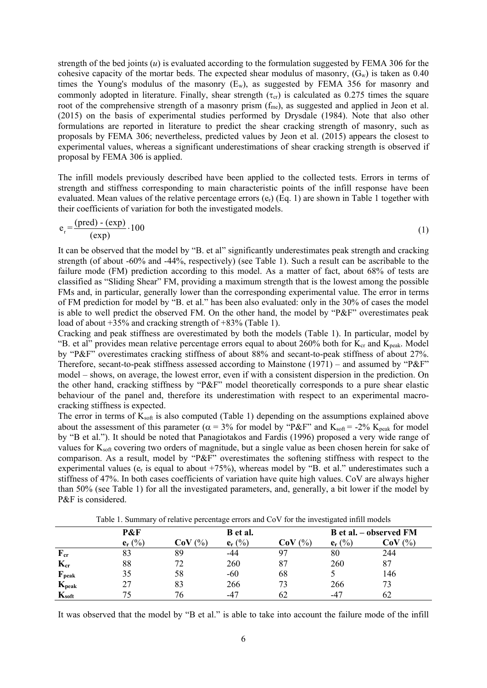strength of the bed joints (*u*) is evaluated according to the formulation suggested by FEMA 306 for the cohesive capacity of the mortar beds. The expected shear modulus of masonry,  $(G_w)$  is taken as 0.40 times the Young's modulus of the masonry  $(E_w)$ , as suggested by FEMA 356 for masonry and commonly adopted in literature. Finally, shear strength  $(\tau_{cr})$  is calculated as 0.275 times the square root of the comprehensive strength of a masonry prism  $(f_{me})$ , as suggested and applied in Jeon et al. (2015) on the basis of experimental studies performed by Drysdale (1984). Note that also other formulations are reported in literature to predict the shear cracking strength of masonry, such as proposals by FEMA 306; nevertheless, predicted values by Jeon et al. (2015) appears the closest to experimental values, whereas a significant underestimations of shear cracking strength is observed if proposal by FEMA 306 is applied.

The infill models previously described have been applied to the collected tests. Errors in terms of strength and stiffness corresponding to main characteristic points of the infill response have been evaluated. Mean values of the relative percentage errors  $(e_r)$  (Eq. 1) are shown in Table 1 together with their coefficients of variation for both the investigated models.

$$
e_r = \frac{(pred) - (exp)}{(exp)} \cdot 100
$$
 (1)

It can be observed that the model by "B. et al" significantly underestimates peak strength and cracking strength (of about -60% and -44%, respectively) (see Table 1). Such a result can be ascribable to the failure mode (FM) prediction according to this model. As a matter of fact, about 68% of tests are classified as "Sliding Shear" FM, providing a maximum strength that is the lowest among the possible FMs and, in particular, generally lower than the corresponding experimental value. The error in terms of FM prediction for model by "B. et al." has been also evaluated: only in the 30% of cases the model is able to well predict the observed FM. On the other hand, the model by "P&F" overestimates peak load of about +35% and cracking strength of +83% (Table 1).

Cracking and peak stiffness are overestimated by both the models (Table 1). In particular, model by "B. et al" provides mean relative percentage errors equal to about 260% both for  $K_{cr}$  and  $K_{peak}$ . Model by "P&F" overestimates cracking stiffness of about 88% and secant-to-peak stiffness of about 27%. Therefore, secant-to-peak stiffness assessed according to Mainstone  $(1971)$  – and assumed by "P&F" model – shows, on average, the lowest error, even if with a consistent dispersion in the prediction. On the other hand, cracking stiffness by "P&F" model theoretically corresponds to a pure shear elastic behaviour of the panel and, therefore its underestimation with respect to an experimental macrocracking stiffness is expected.

The error in terms of  $K_{soft}$  is also computed (Table 1) depending on the assumptions explained above about the assessment of this parameter ( $\alpha = 3\%$  for model by "P&F" and K<sub>soft</sub> = -2% K<sub>peak</sub> for model by "B et al."). It should be noted that Panagiotakos and Fardis (1996) proposed a very wide range of values for  $K_{soft}$  covering two orders of magnitude, but a single value as been chosen herein for sake of comparison. As a result, model by "P&F" overestimates the softening stiffness with respect to the experimental values (e<sub>r</sub> is equal to about +75%), whereas model by "B. et al." underestimates such a stiffness of 47%. In both cases coefficients of variation have quite high values. CoV are always higher than 50% (see Table 1) for all the investigated parameters, and, generally, a bit lower if the model by P&F is considered.

|                            | Table 1. Summary of relative percentage errors and COV for the investigated millimodels |              |           |              |                        |              |  |  |
|----------------------------|-----------------------------------------------------------------------------------------|--------------|-----------|--------------|------------------------|--------------|--|--|
|                            | P&F                                                                                     |              | B et al.  |              | B et al. – observed FM |              |  |  |
|                            | $e_r$ (%)                                                                               | $CoV$ $(\%)$ | $e_r$ (%) | $CoV$ $(\%)$ | $e_r$ (%)              | $CoV$ $(\%)$ |  |  |
| $\mathbf{F}_{cr}$          | 83                                                                                      | 89           | -44       |              | 80                     | 244          |  |  |
| $K_{cr}$                   | 88                                                                                      | 72           | 260       |              | 260                    | 87           |  |  |
| $\mathbf{F}_{\text{peak}}$ | 35                                                                                      | 58           | $-60$     | 68           |                        | 146          |  |  |
| $K_{\rm peak}$             |                                                                                         | 83           | 266       |              | 266                    | 73           |  |  |
| $K_{soft}$                 |                                                                                         | 76           | $-47$     | 62           | $-47$                  | 62           |  |  |

 $T_{\rm{C}}$   $T_{\rm{C}}$   $T_{\rm{C}}$   $T_{\rm{C}}$   $T_{\rm{C}}$   $T_{\rm{C}}$   $T_{\rm{C}}$   $T_{\rm{C}}$   $T_{\rm{C}}$   $T_{\rm{C}}$   $T_{\rm{C}}$   $T_{\rm{C}}$   $T_{\rm{C}}$   $T_{\rm{C}}$   $T_{\rm{C}}$   $T_{\rm{C}}$   $T_{\rm{C}}$   $T_{\rm{C}}$   $T_{\rm{C}}$   $T_{\rm{C}}$   $T_{\rm{C}}$   $T_{\rm{C}}$ 

It was observed that the model by "B et al." is able to take into account the failure mode of the infill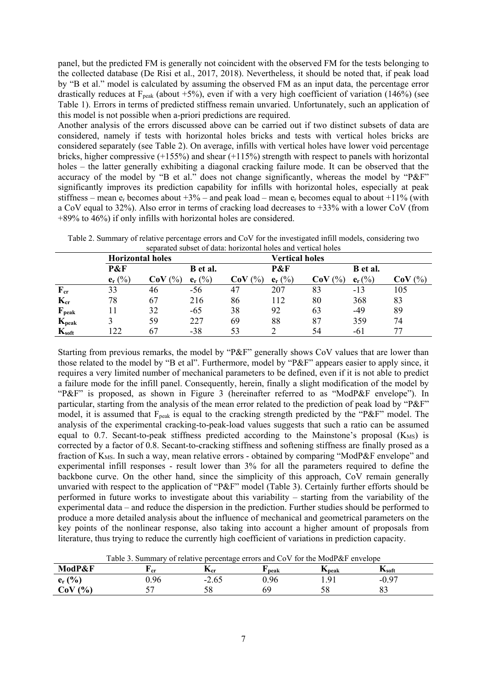panel, but the predicted FM is generally not coincident with the observed FM for the tests belonging to the collected database (De Risi et al., 2017, 2018). Nevertheless, it should be noted that, if peak load by "B et al." model is calculated by assuming the observed FM as an input data, the percentage error drastically reduces at  $F_{peak}$  (about +5%), even if with a very high coefficient of variation (146%) (see Table 1). Errors in terms of predicted stiffness remain unvaried. Unfortunately, such an application of this model is not possible when a-priori predictions are required.

Another analysis of the errors discussed above can be carried out if two distinct subsets of data are considered, namely if tests with horizontal holes bricks and tests with vertical holes bricks are considered separately (see Table 2). On average, infills with vertical holes have lower void percentage bricks, higher compressive (+155%) and shear (+115%) strength with respect to panels with horizontal holes – the latter generally exhibiting a diagonal cracking failure mode. It can be observed that the accuracy of the model by "B et al." does not change significantly, whereas the model by "P&F" significantly improves its prediction capability for infills with horizontal holes, especially at peak stiffness – mean  $e_r$  becomes about  $+3\%$  – and peak load – mean  $e_r$  becomes equal to about  $+11\%$  (with a CoV equal to 32%). Also error in terms of cracking load decreases to +33% with a lower CoV (from +89% to 46%) if only infills with horizontal holes are considered.

| sciarated subset of data. Hortzoniar holes and vertical holes |                         |                        |           |                       |           |                      |           |               |
|---------------------------------------------------------------|-------------------------|------------------------|-----------|-----------------------|-----------|----------------------|-----------|---------------|
|                                                               | <b>Horizontal holes</b> |                        |           | <b>Vertical holes</b> |           |                      |           |               |
|                                                               | P&F                     |                        | B et al.  |                       | P&F       |                      | B et al.  |               |
|                                                               | $e_r$ (%)               | $\frac{(0)}{0}$<br>CoV | $e_r$ (%) | $($ %)<br>CoV         | $e_r$ (%) | $\frac{1}{2}$<br>CoV | $e_r$ (%) | $($ %)<br>CoV |
| $F_{cr}$                                                      | 33                      | 46                     | $-56$     | 47                    | 207       | 83                   | $-13$     | 105           |
| $K_{cr}$                                                      | 78                      | 67                     | 216       | 86                    | 112       | 80                   | 368       | 83            |
| $F_{\rm peak}$                                                |                         | 32                     | $-65$     | 38                    | 92        | 63                   | $-49$     | 89            |
| $K_{\rm peak}$                                                |                         | 59                     | 227       | 69                    | 88        | 87                   | 359       | 74            |
| $K_{soft}$                                                    | 122                     | 67                     | $-38$     |                       |           | 54                   | -61       |               |

Table 2. Summary of relative percentage errors and CoV for the investigated infill models, considering two separated subset of data: horizontal holes and vertical holes

Starting from previous remarks, the model by "P&F" generally shows CoV values that are lower than those related to the model by "B et al". Furthermore, model by "P&F" appears easier to apply since, it requires a very limited number of mechanical parameters to be defined, even if it is not able to predict a failure mode for the infill panel. Consequently, herein, finally a slight modification of the model by "P&F" is proposed, as shown in Figure 3 (hereinafter referred to as "ModP&F envelope"). In particular, starting from the analysis of the mean error related to the prediction of peak load by "P&F" model, it is assumed that F<sub>peak</sub> is equal to the cracking strength predicted by the "P&F" model. The analysis of the experimental cracking-to-peak-load values suggests that such a ratio can be assumed equal to 0.7. Secant-to-peak stiffness predicted according to the Mainstone's proposal  $(K_{MS})$  is corrected by a factor of 0.8. Secant-to-cracking stiffness and softening stiffness are finally prosed as a fraction of K<sub>MS</sub>. In such a way, mean relative errors - obtained by comparing "ModP&F envelope" and experimental infill responses - result lower than 3% for all the parameters required to define the backbone curve. On the other hand, since the simplicity of this approach, CoV remain generally unvaried with respect to the application of "P&F" model (Table 3). Certainly further efforts should be performed in future works to investigate about this variability – starting from the variability of the experimental data – and reduce the dispersion in the prediction. Further studies should be performed to produce a more detailed analysis about the influence of mechanical and geometrical parameters on the key points of the nonlinear response, also taking into account a higher amount of proposals from literature, thus trying to reduce the currently high coefficient of variations in prediction capacity.

|                                                 | TAGLA DI DAMMINIANI LA TAMANI A DATAANIMIA ANTONO MINA COLLINIA NIA MILAATI ANILAADA |                          |       |                                    |                            |  |
|-------------------------------------------------|--------------------------------------------------------------------------------------|--------------------------|-------|------------------------------------|----------------------------|--|
| ModP&F                                          | ∡' er                                                                                | $\mathbf{r}_{\text{cr}}$ | `peak | <b>TX</b> peak                     | $\mathbf{r}_{\text{soft}}$ |  |
| (%<br>$\mathbf{a}$<br>$\mathbf{c}_{\mathbf{r}}$ | 0.96                                                                                 | $-2.0$                   | 0.96  | $\mathbf{O}^{\cdot}$<br>1. <i></i> | $-0.5$ .                   |  |
| $(%^{0})^{2}$<br>${\bf CoV}$                    |                                                                                      | υo                       |       |                                    | ິ                          |  |
|                                                 |                                                                                      |                          |       |                                    |                            |  |

Table 3. Summary of relative percentage errors and CoV for the ModP&F envelope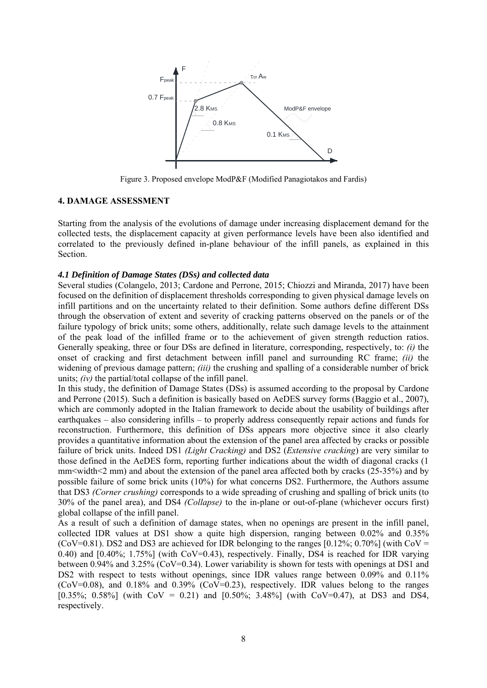

Figure 3. Proposed envelope ModP&F (Modified Panagiotakos and Fardis)

## **4. DAMAGE ASSESSMENT**

Starting from the analysis of the evolutions of damage under increasing displacement demand for the collected tests, the displacement capacity at given performance levels have been also identified and correlated to the previously defined in-plane behaviour of the infill panels, as explained in this Section.

#### *4.1 Definition of Damage States (DSs) and collected data*

Several studies (Colangelo, 2013; Cardone and Perrone, 2015; Chiozzi and Miranda, 2017) have been focused on the definition of displacement thresholds corresponding to given physical damage levels on infill partitions and on the uncertainty related to their definition. Some authors define different DSs through the observation of extent and severity of cracking patterns observed on the panels or of the failure typology of brick units; some others, additionally, relate such damage levels to the attainment of the peak load of the infilled frame or to the achievement of given strength reduction ratios. Generally speaking, three or four DSs are defined in literature, corresponding, respectively, to: *(i)* the onset of cracking and first detachment between infill panel and surrounding RC frame; *(ii)* the widening of previous damage pattern; *(iii)* the crushing and spalling of a considerable number of brick units; *(iv)* the partial/total collapse of the infill panel.

In this study, the definition of Damage States (DSs) is assumed according to the proposal by Cardone and Perrone (2015). Such a definition is basically based on AeDES survey forms (Baggio et al., 2007), which are commonly adopted in the Italian framework to decide about the usability of buildings after earthquakes – also considering infills – to properly address consequently repair actions and funds for reconstruction. Furthermore, this definition of DSs appears more objective since it also clearly provides a quantitative information about the extension of the panel area affected by cracks or possible failure of brick units. Indeed DS1 *(Light Cracking)* and DS2 (*Extensive cracking*) are very similar to those defined in the AeDES form, reporting further indications about the width of diagonal cracks (1 mm $\le$ width $\le$ 2 mm) and about the extension of the panel area affected both by cracks (25-35%) and by possible failure of some brick units (10%) for what concerns DS2. Furthermore, the Authors assume that DS3 *(Corner crushing)* corresponds to a wide spreading of crushing and spalling of brick units (to 30% of the panel area), and DS4 *(Collapse)* to the in-plane or out-of-plane (whichever occurs first) global collapse of the infill panel.

As a result of such a definition of damage states, when no openings are present in the infill panel, collected IDR values at DS1 show a quite high dispersion, ranging between 0.02% and 0.35% (CoV=0.81). DS2 and DS3 are achieved for IDR belonging to the ranges  $[0.12\%; 0.70\%]$  (with CoV = 0.40) and [0.40%; 1.75%] (with CoV=0.43), respectively. Finally, DS4 is reached for IDR varying between 0.94% and 3.25% (CoV=0.34). Lower variability is shown for tests with openings at DS1 and DS2 with respect to tests without openings, since IDR values range between 0.09% and 0.11% (CoV=0.08), and 0.18% and 0.39% (CoV=0.23), respectively. IDR values belong to the ranges [0.35%; 0.58%] (with  $Cov = 0.21$ ) and  $[0.50\%; 3.48\%]$  (with  $Cov=0.47$ ), at DS3 and DS4, respectively.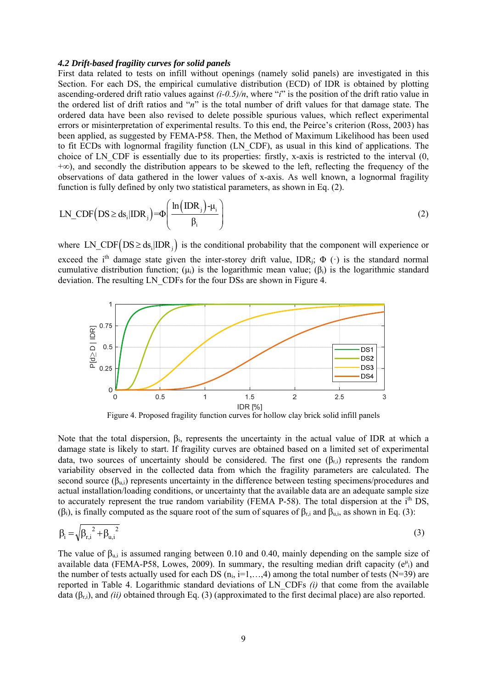#### *4.2 Drift-based fragility curves for solid panels*

First data related to tests on infill without openings (namely solid panels) are investigated in this Section. For each DS, the empirical cumulative distribution (ECD) of IDR is obtained by plotting ascending-ordered drift ratio values against  $(i-0.5)/n$ , where "*i*" is the position of the drift ratio value in the ordered list of drift ratios and "*n*" is the total number of drift values for that damage state. The ordered data have been also revised to delete possible spurious values, which reflect experimental errors or misinterpretation of experimental results. To this end, the Peirce's criterion (Ross, 2003) has been applied, as suggested by FEMA-P58. Then, the Method of Maximum Likelihood has been used to fit ECDs with lognormal fragility function (LN\_CDF), as usual in this kind of applications. The choice of LN\_CDF is essentially due to its properties: firstly, x-axis is restricted to the interval (0, +∞), and secondly the distribution appears to be skewed to the left, reflecting the frequency of the observations of data gathered in the lower values of x-axis. As well known, a lognormal fragility function is fully defined by only two statistical parameters, as shown in Eq. (2).

$$
LN\_CDF(DS \ge ds_i | IDR_j) = \Phi\left(\frac{\ln(DR_j) - \mu_i}{\beta_i}\right)
$$
\n(2)

where LN CDF  $\left( DS \geq ds \right| \text{IDR }$  is the conditional probability that the component will experience or exceed the i<sup>th</sup> damage state given the inter-storey drift value, IDR<sub>j</sub>;  $\Phi$  (·) is the standard normal cumulative distribution function;  $(\mu_i)$  is the logarithmic mean value;  $(\beta_i)$  is the logarithmic standard deviation. The resulting LN\_CDFs for the four DSs are shown in Figure 4.



Figure 4. Proposed fragility function curves for hollow clay brick solid infill panels

Note that the total dispersion, βi, represents the uncertainty in the actual value of IDR at which a damage state is likely to start. If fragility curves are obtained based on a limited set of experimental data, two sources of uncertainty should be considered. The first one  $(\beta_{r,i})$  represents the random variability observed in the collected data from which the fragility parameters are calculated. The second source  $(\beta_{\text{u}})$  represents uncertainty in the difference between testing specimens/procedures and actual installation/loading conditions, or uncertainty that the available data are an adequate sample size to accurately represent the true random variability (FEMA P-58). The total dispersion at the i<sup>th</sup> DS, (βi), is finally computed as the square root of the sum of squares of  $\beta_{r,i}$  and  $\beta_{u,i}$ , as shown in Eq. (3):

$$
\beta_{i} = \sqrt{{\beta_{r,i}}^{2} + {\beta_{u,i}}^{2}}
$$
 (3)

The value of  $\beta_{u,i}$  is assumed ranging between 0.10 and 0.40, mainly depending on the sample size of available data (FEMA-P58, Lowes, 2009). In summary, the resulting median drift capacity  $(e^{\mu_i})$  and the number of tests actually used for each DS  $(n_i, i=1,...,4)$  among the total number of tests (N=39) are reported in Table 4. Logarithmic standard deviations of LN\_CDFs *(i)* that come from the available data (βr,i), and *(ii)* obtained through Eq. (3) (approximated to the first decimal place) are also reported.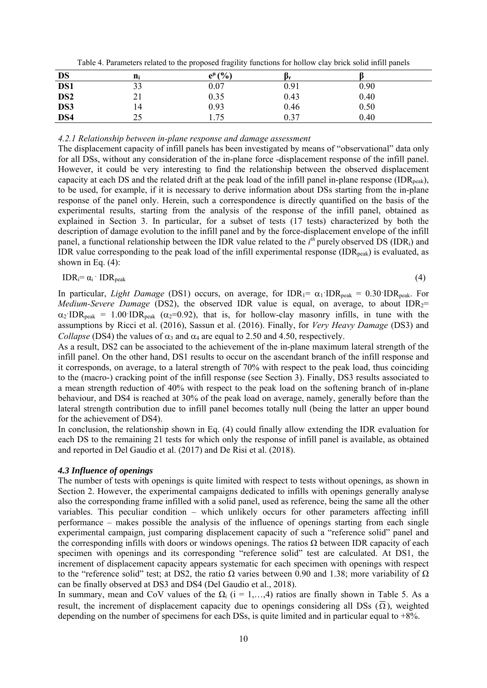| <b>DS</b>       | $n_i$      | $e^{\mu}$ (%) | Pr.  |      |  |
|-----------------|------------|---------------|------|------|--|
| DS1             | 33         | 0.07          | 0.91 | 0.90 |  |
| DS <sub>2</sub> | $\angle$ 1 | 0.35          | 0.43 | 0.40 |  |
| DS3             | 14         | 0.93          | 0.46 | 0.50 |  |
| DS4             | 25         | 1.75          | 0.37 | 0.40 |  |

*4.2.1 Relationship between in-plane response and damage assessment* 

The displacement capacity of infill panels has been investigated by means of "observational" data only for all DSs, without any consideration of the in-plane force -displacement response of the infill panel. However, it could be very interesting to find the relationship between the observed displacement capacity at each DS and the related drift at the peak load of the infill panel in-plane response (IDR<sub>peak</sub>), to be used, for example, if it is necessary to derive information about DSs starting from the in-plane response of the panel only. Herein, such a correspondence is directly quantified on the basis of the experimental results, starting from the analysis of the response of the infill panel, obtained as explained in Section 3. In particular, for a subset of tests (17 tests) characterized by both the description of damage evolution to the infill panel and by the force-displacement envelope of the infill panel, a functional relationship between the IDR value related to the  $i^{th}$  purely observed DS (IDR<sub>i</sub>) and IDR value corresponding to the peak load of the infill experimental response  $(IDR_{peak})$  is evaluated, as shown in Eq.  $(4)$ :

$$
IDR_i = \alpha_i \cdot IDR_{peak} \tag{4}
$$

$$
^{(4)}
$$

In particular, *Light Damage* (DS1) occurs, on average, for  $IDR_1 = \alpha_1 \cdot IDR_{peak} = 0.30 \cdot IDR_{peak}$ . For *Medium-Severe Damage* (DS2), the observed IDR value is equal, on average, to about IDR<sub>2</sub>=  $\alpha_2$ <sup>IDR</sup>peak = 1.00<sup> $\cdot$ </sup>IDR<sub>peak</sub> ( $\alpha_2$ =0.92), that is, for hollow-clay masonry infills, in tune with the assumptions by Ricci et al. (2016), Sassun et al. (2016). Finally, for *Very Heavy Damage* (DS3) and *Collapse* (DS4) the values of  $\alpha_3$  and  $\alpha_4$  are equal to 2.50 and 4.50, respectively.

As a result, DS2 can be associated to the achievement of the in-plane maximum lateral strength of the infill panel. On the other hand, DS1 results to occur on the ascendant branch of the infill response and it corresponds, on average, to a lateral strength of 70% with respect to the peak load, thus coinciding to the (macro-) cracking point of the infill response (see Section 3). Finally, DS3 results associated to a mean strength reduction of 40% with respect to the peak load on the softening branch of in-plane behaviour, and DS4 is reached at 30% of the peak load on average, namely, generally before than the lateral strength contribution due to infill panel becomes totally null (being the latter an upper bound for the achievement of DS4).

In conclusion, the relationship shown in Eq. (4) could finally allow extending the IDR evaluation for each DS to the remaining 21 tests for which only the response of infill panel is available, as obtained and reported in Del Gaudio et al. (2017) and De Risi et al. (2018).

# *4.3 Influence of openings*

The number of tests with openings is quite limited with respect to tests without openings, as shown in Section 2. However, the experimental campaigns dedicated to infills with openings generally analyse also the corresponding frame infilled with a solid panel, used as reference, being the same all the other variables. This peculiar condition – which unlikely occurs for other parameters affecting infill performance – makes possible the analysis of the influence of openings starting from each single experimental campaign, just comparing displacement capacity of such a "reference solid" panel and the corresponding infills with doors or windows openings. The ratios  $\Omega$  between IDR capacity of each specimen with openings and its corresponding "reference solid" test are calculated. At DS1, the increment of displacement capacity appears systematic for each specimen with openings with respect to the "reference solid" test; at DS2, the ratio  $\Omega$  varies between 0.90 and 1.38; more variability of  $\Omega$ can be finally observed at DS3 and DS4 (Del Gaudio et al., 2018).

In summary, mean and CoV values of the  $\Omega_i$  (i = 1,...,4) ratios are finally shown in Table 5. As a result, the increment of displacement capacity due to openings considering all DSs  $(\overline{\Omega})$ , weighted depending on the number of specimens for each DSs, is quite limited and in particular equal to +8%.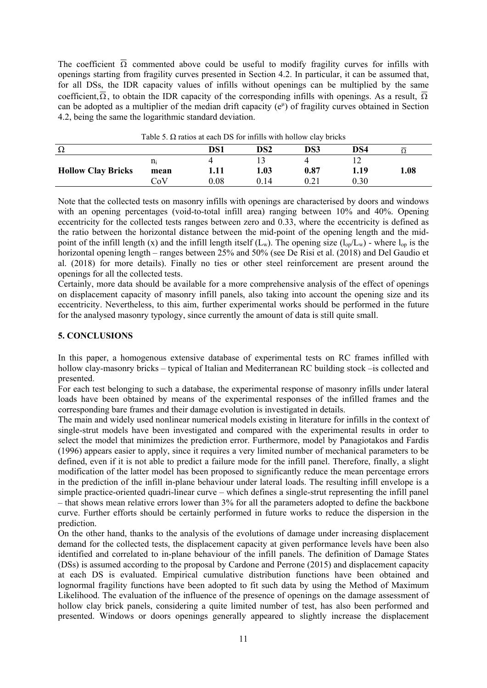The coefficient  $\overline{\Omega}$  commented above could be useful to modify fragility curves for infills with openings starting from fragility curves presented in Section 4.2. In particular, it can be assumed that, for all DSs, the IDR capacity values of infills without openings can be multiplied by the same coefficient,  $\overline{\Omega}$ , to obtain the IDR capacity of the corresponding infills with openings. As a result,  $\overline{\Omega}$ can be adopted as a multiplier of the median drift capacity  $(e^{\mu})$  of fragility curves obtained in Section 4.2, being the same the logarithmic standard deviation.

| Ω                         |                | DS1  | DS <sub>2</sub> | DS3  | DS4  |     |
|---------------------------|----------------|------|-----------------|------|------|-----|
|                           | $\mathbf{n_i}$ |      |                 |      |      |     |
| <b>Hollow Clay Bricks</b> | mean           | 1.11 | 1.03            | 0.87 | 1.19 | .08 |
|                           | CoV            | 0.08 | 0.14            | 0.21 | 0.30 |     |

Table 5.  $\Omega$  ratios at each DS for infills with hollow clay bricks

Note that the collected tests on masonry infills with openings are characterised by doors and windows with an opening percentages (void-to-total infill area) ranging between 10% and 40%. Opening eccentricity for the collected tests ranges between zero and 0.33, where the eccentricity is defined as the ratio between the horizontal distance between the mid-point of the opening length and the midpoint of the infill length (x) and the infill length itself  $(L_w)$ . The opening size  $(l_{op}/L_w)$  - where  $l_{op}$  is the horizontal opening length – ranges between 25% and 50% (see De Risi et al. (2018) and Del Gaudio et al. (2018) for more details). Finally no ties or other steel reinforcement are present around the openings for all the collected tests.

Certainly, more data should be available for a more comprehensive analysis of the effect of openings on displacement capacity of masonry infill panels, also taking into account the opening size and its eccentricity. Nevertheless, to this aim, further experimental works should be performed in the future for the analysed masonry typology, since currently the amount of data is still quite small.

# **5. CONCLUSIONS**

In this paper, a homogenous extensive database of experimental tests on RC frames infilled with hollow clay-masonry bricks – typical of Italian and Mediterranean RC building stock –is collected and presented.

For each test belonging to such a database, the experimental response of masonry infills under lateral loads have been obtained by means of the experimental responses of the infilled frames and the corresponding bare frames and their damage evolution is investigated in details.

The main and widely used nonlinear numerical models existing in literature for infills in the context of single-strut models have been investigated and compared with the experimental results in order to select the model that minimizes the prediction error. Furthermore, model by Panagiotakos and Fardis (1996) appears easier to apply, since it requires a very limited number of mechanical parameters to be defined, even if it is not able to predict a failure mode for the infill panel. Therefore, finally, a slight modification of the latter model has been proposed to significantly reduce the mean percentage errors in the prediction of the infill in-plane behaviour under lateral loads. The resulting infill envelope is a simple practice-oriented quadri-linear curve – which defines a single-strut representing the infill panel – that shows mean relative errors lower than 3% for all the parameters adopted to define the backbone curve. Further efforts should be certainly performed in future works to reduce the dispersion in the prediction.

On the other hand, thanks to the analysis of the evolutions of damage under increasing displacement demand for the collected tests, the displacement capacity at given performance levels have been also identified and correlated to in-plane behaviour of the infill panels. The definition of Damage States (DSs) is assumed according to the proposal by Cardone and Perrone (2015) and displacement capacity at each DS is evaluated. Empirical cumulative distribution functions have been obtained and lognormal fragility functions have been adopted to fit such data by using the Method of Maximum Likelihood. The evaluation of the influence of the presence of openings on the damage assessment of hollow clay brick panels, considering a quite limited number of test, has also been performed and presented. Windows or doors openings generally appeared to slightly increase the displacement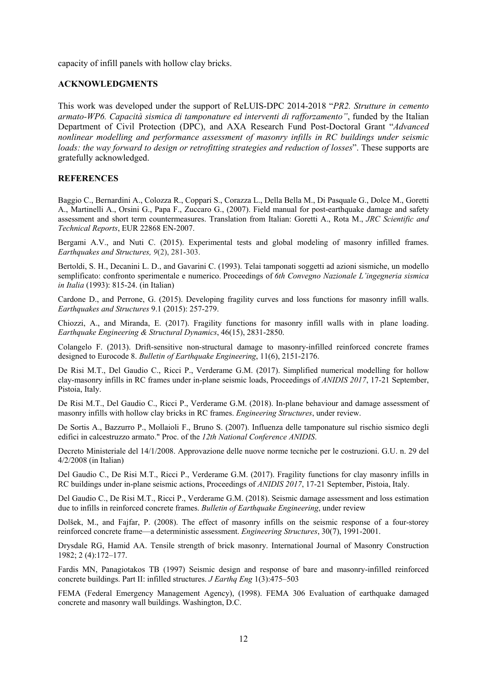capacity of infill panels with hollow clay bricks.

#### **ACKNOWLEDGMENTS**

This work was developed under the support of ReLUIS-DPC 2014-2018 "*PR2. Strutture in cemento armato-WP6. Capacità sismica di tamponature ed interventi di rafforzamento"*, funded by the Italian Department of Civil Protection (DPC), and AXA Research Fund Post-Doctoral Grant "*Advanced nonlinear modelling and performance assessment of masonry infills in RC buildings under seismic loads: the way forward to design or retrofitting strategies and reduction of losses*". These supports are gratefully acknowledged.

#### **REFERENCES**

Baggio C., Bernardini A., Colozza R., Coppari S., Corazza L., Della Bella M., Di Pasquale G., Dolce M., Goretti A., Martinelli A., Orsini G., Papa F., Zuccaro G., (2007). Field manual for post-earthquake damage and safety assessment and short term countermeasures. Translation from Italian: Goretti A., Rota M., *JRC Scientific and Technical Reports*, EUR 22868 EN-2007.

Bergami A.V., and Nuti C. (2015). Experimental tests and global modeling of masonry infilled frames. *Earthquakes and Structures, 9*(2), 281-303.

Bertoldi, S. H., Decanini L. D., and Gavarini C. (1993). Telai tamponati soggetti ad azioni sismiche, un modello semplificato: confronto sperimentale e numerico. Proceedings of *6th Convegno Nazionale L'ingegneria sismica in Italia* (1993): 815-24. (in Italian)

Cardone D., and Perrone, G. (2015). Developing fragility curves and loss functions for masonry infill walls. *Earthquakes and Structures* 9.1 (2015): 257-279.

Chiozzi, A., and Miranda, E. (2017). Fragility functions for masonry infill walls with inplane loading. *Earthquake Engineering & Structural Dynamics*, 46(15), 2831-2850.

Colangelo F. (2013). Drift-sensitive non-structural damage to masonry-infilled reinforced concrete frames designed to Eurocode 8. *Bulletin of Earthquake Engineering*, 11(6), 2151-2176.

De Risi M.T., Del Gaudio C., Ricci P., Verderame G.M. (2017). Simplified numerical modelling for hollow clay-masonry infills in RC frames under in-plane seismic loads, Proceedings of *ANIDIS 2017*, 17-21 September, Pistoia, Italy.

De Risi M.T., Del Gaudio C., Ricci P., Verderame G.M. (2018). In-plane behaviour and damage assessment of masonry infills with hollow clay bricks in RC frames. *Engineering Structures*, under review.

De Sortis A., Bazzurro P., Mollaioli F., Bruno S. (2007). Influenza delle tamponature sul rischio sismico degli edifici in calcestruzzo armato." Proc. of the *12th National Conference ANIDIS*.

Decreto Ministeriale del 14/1/2008. Approvazione delle nuove norme tecniche per le costruzioni. G.U. n. 29 del 4/2/2008 (in Italian)

Del Gaudio C., De Risi M.T., Ricci P., Verderame G.M. (2017). Fragility functions for clay masonry infills in RC buildings under in-plane seismic actions, Proceedings of *ANIDIS 2017*, 17-21 September, Pistoia, Italy.

Del Gaudio C., De Risi M.T., Ricci P., Verderame G.M. (2018). Seismic damage assessment and loss estimation due to infills in reinforced concrete frames. *Bulletin of Earthquake Engineering*, under review

Dolšek, M., and Fajfar, P. (2008). The effect of masonry infills on the seismic response of a four-storey reinforced concrete frame—a deterministic assessment. *Engineering Structures*, 30(7), 1991-2001.

Drysdale RG, Hamid AA. Tensile strength of brick masonry. International Journal of Masonry Construction 1982; 2 (4):172–177.

Fardis MN, Panagiotakos TB (1997) Seismic design and response of bare and masonry-infilled reinforced concrete buildings. Part II: infilled structures. *J Earthq Eng* 1(3):475–503

FEMA (Federal Emergency Management Agency), (1998). FEMA 306 Evaluation of earthquake damaged concrete and masonry wall buildings. Washington, D.C.